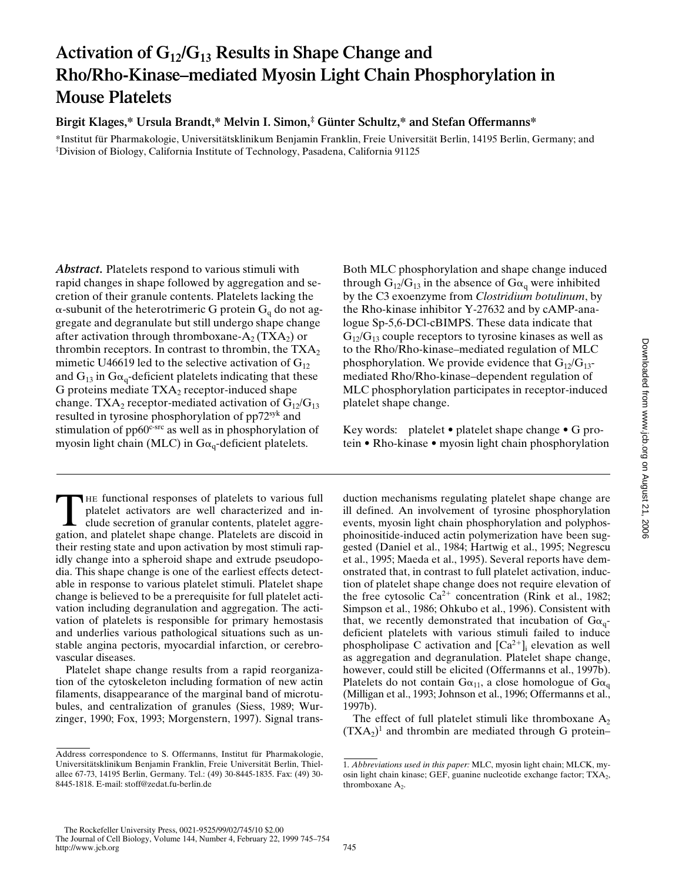# **Activation of G12/G13 Results in Shape Change and Rho/Rho-Kinase–mediated Myosin Light Chain Phosphorylation in Mouse Platelets**

## **Birgit Klages,\* Ursula Brandt,\* Melvin I. Simon,‡ Günter Schultz,\* and Stefan Offermanns\***

\*Institut für Pharmakologie, Universitätsklinikum Benjamin Franklin, Freie Universität Berlin, 14195 Berlin, Germany; and ‡ Division of Biology, California Institute of Technology, Pasadena, California 91125

*Abstract.* Platelets respond to various stimuli with rapid changes in shape followed by aggregation and secretion of their granule contents. Platelets lacking the  $\alpha$ -subunit of the heterotrimeric G protein G<sub>q</sub> do not aggregate and degranulate but still undergo shape change after activation through thromboxane- $A_2$  (TXA<sub>2</sub>) or thrombin receptors. In contrast to thrombin, the  $TXA_2$ mimetic U46619 led to the selective activation of  $G_{12}$ and  $G_{13}$  in  $G_{\alpha_q}$ -deficient platelets indicating that these G proteins mediate  $TXA_2$  receptor-induced shape change. TXA<sub>2</sub> receptor-mediated activation of  $G_{12}/G_{13}$ resulted in tyrosine phosphorylation of pp72syk and stimulation of pp60<sup>c-src</sup> as well as in phosphorylation of myosin light chain (MLC) in  $Ga_q$ -deficient platelets.

THE functional responses of platelets to various full platelet activators are well characterized and include secretion of granular contents, platelet aggregation, and platelet shape change. Platelets are discoid in their resting state and upon activation by most stimuli rapidly change into a spheroid shape and extrude pseudopodia. This shape change is one of the earliest effects detectable in response to various platelet stimuli. Platelet shape change is believed to be a prerequisite for full platelet activation including degranulation and aggregation. The activation of platelets is responsible for primary hemostasis and underlies various pathological situations such as unstable angina pectoris, myocardial infarction, or cerebrovascular diseases.

Platelet shape change results from a rapid reorganization of the cytoskeleton including formation of new actin filaments, disappearance of the marginal band of microtubules, and centralization of granules (Siess, 1989; Wurzinger, 1990; Fox, 1993; Morgenstern, 1997). Signal trans-

Both MLC phosphorylation and shape change induced through  $G_{12}/G_{13}$  in the absence of  $G_{\alpha_q}$  were inhibited by the C3 exoenzyme from *Clostridium botulinum*, by the Rho-kinase inhibitor Y-27632 and by cAMP-analogue Sp-5,6-DCl-cBIMPS. These data indicate that  $G_{12}/G_{13}$  couple receptors to tyrosine kinases as well as to the Rho/Rho-kinase–mediated regulation of MLC phosphorylation. We provide evidence that  $G_{12}/G_{13}$ mediated Rho/Rho-kinase–dependent regulation of MLC phosphorylation participates in receptor-induced platelet shape change.

Key words: platelet • platelet shape change • G protein • Rho-kinase • myosin light chain phosphorylation

duction mechanisms regulating platelet shape change are ill defined. An involvement of tyrosine phosphorylation events, myosin light chain phosphorylation and polyphosphoinositide-induced actin polymerization have been suggested (Daniel et al., 1984; Hartwig et al., 1995; Negrescu et al., 1995; Maeda et al., 1995). Several reports have demonstrated that, in contrast to full platelet activation, induction of platelet shape change does not require elevation of the free cytosolic  $Ca^{2+}$  concentration (Rink et al., 1982; Simpson et al., 1986; Ohkubo et al., 1996). Consistent with that, we recently demonstrated that incubation of  $Ga_{q}$ deficient platelets with various stimuli failed to induce phospholipase C activation and  $[Ca^{2+}]_i$  elevation as well as aggregation and degranulation. Platelet shape change, however, could still be elicited (Offermanns et al., 1997b). Platelets do not contain  $Ga_{11}$ , a close homologue of  $Ga_{q}$ (Milligan et al., 1993; Johnson et al., 1996; Offermanns et al., 1997b).

The effect of full platelet stimuli like thromboxane  $A_2$  $(TXA<sub>2</sub>)<sup>1</sup>$  and thrombin are mediated through G protein–

Address correspondence to S. Offermanns, Institut für Pharmakologie, Universitätsklinikum Benjamin Franklin, Freie Universität Berlin, Thielallee 67-73, 14195 Berlin, Germany. Tel.: (49) 30-8445-1835. Fax: (49) 30- 8445-1818. E-mail: stoff@zedat.fu-berlin.de

<sup>1.</sup> *Abbreviations used in this paper:* MLC, myosin light chain; MLCK, myosin light chain kinase; GEF, guanine nucleotide exchange factor; TXA2, thromboxane  $A_2$ .

The Rockefeller University Press, 0021-9525/99/02/745/10 \$2.00 The Journal of Cell Biology, Volume 144, Number 4, February 22, 1999 745–754 http://www.jcb.org 745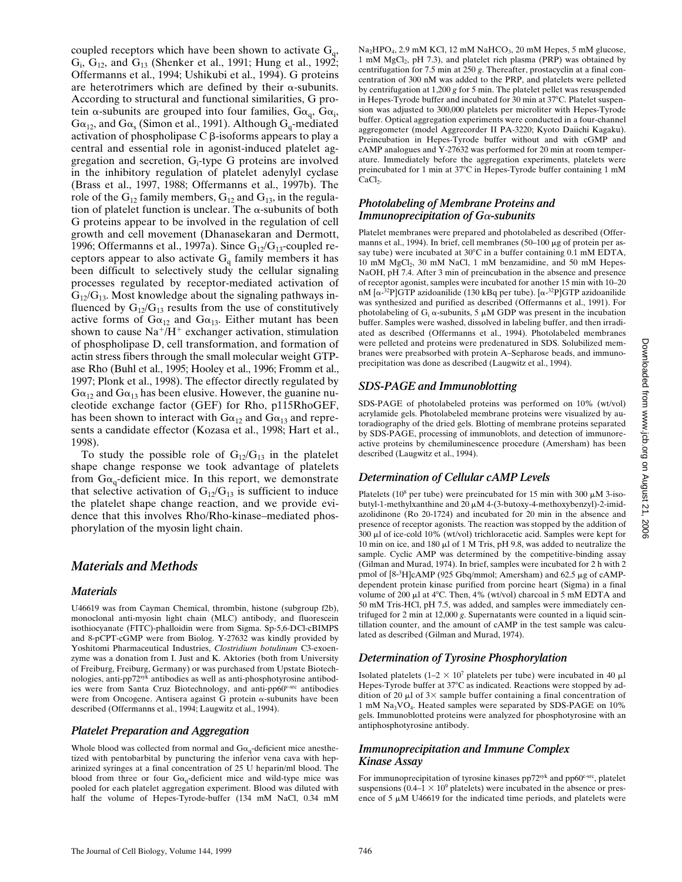coupled receptors which have been shown to activate  $G_q$ ,  $G_i$ ,  $G_{12}$ , and  $G_{13}$  (Shenker et al., 1991; Hung et al., 1992; Offermanns et al., 1994; Ushikubi et al., 1994). G proteins are heterotrimers which are defined by their  $\alpha$ -subunits. According to structural and functional similarities, G protein  $\alpha$ -subunits are grouped into four families,  $G\alpha_{q}$ ,  $G\alpha_{i}$ ,  $G\alpha_{12}$ , and  $G\alpha_{s}$  (Simon et al., 1991). Although  $G_q$ -mediated activation of phospholipase  $C \beta$ -isoforms appears to play a central and essential role in agonist-induced platelet aggregation and secretion, G<sub>i</sub>-type G proteins are involved in the inhibitory regulation of platelet adenylyl cyclase (Brass et al., 1997, 1988; Offermanns et al., 1997b). The role of the  $G_{12}$  family members,  $G_{12}$  and  $G_{13}$ , in the regulation of platelet function is unclear. The  $\alpha$ -subunits of both G proteins appear to be involved in the regulation of cell growth and cell movement (Dhanasekaran and Dermott, 1996; Offermanns et al., 1997a). Since  $G_{12}/G_{13}$ -coupled receptors appear to also activate  $G_q$  family members it has been difficult to selectively study the cellular signaling processes regulated by receptor-mediated activation of  $G_{12}/G_{13}$ . Most knowledge about the signaling pathways influenced by  $G_{12}/G_{13}$  results from the use of constitutively active forms of  $Ga_{12}$  and  $Ga_{13}$ . Either mutant has been shown to cause  $Na^+/H^+$  exchanger activation, stimulation of phospholipase D, cell transformation, and formation of actin stress fibers through the small molecular weight GTPase Rho (Buhl et al., 1995; Hooley et al., 1996; Fromm et al., 1997; Plonk et al., 1998). The effector directly regulated by  $G\alpha_{12}$  and  $G\alpha_{13}$  has been elusive. However, the guanine nucleotide exchange factor (GEF) for Rho, p115RhoGEF, has been shown to interact with  $Ga_{12}$  and  $Ga_{13}$  and represents a candidate effector (Kozasa et al., 1998; Hart et al., 1998).

To study the possible role of  $G_{12}/G_{13}$  in the platelet shape change response we took advantage of platelets from  $Ga_{\alpha}$ -deficient mice. In this report, we demonstrate that selective activation of  $G_{12}/G_{13}$  is sufficient to induce the platelet shape change reaction, and we provide evidence that this involves Rho/Rho-kinase–mediated phosphorylation of the myosin light chain.

# *Materials and Methods*

#### *Materials*

U46619 was from Cayman Chemical, thrombin, histone (subgroup f2b), monoclonal anti-myosin light chain (MLC) antibody, and fluorescein isothiocyanate (FITC)-phalloidin were from Sigma. Sp-5,6-DCl-cBIMPS and 8-pCPT-cGMP were from Biolog. Y-27632 was kindly provided by Yoshitomi Pharmaceutical Industries, *Clostridium botulinum* C3-exoenzyme was a donation from I. Just and K. Aktories (both from University of Freiburg, Freiburg, Germany) or was purchased from Upstate Biotechnologies, anti-pp72syk antibodies as well as anti-phosphotyrosine antibodies were from Santa Cruz Biotechnology, and anti-pp60v-src antibodies were from Oncogene. Antisera against G protein a-subunits have been described (Offermanns et al., 1994; Laugwitz et al., 1994).

### *Platelet Preparation and Aggregation*

Whole blood was collected from normal and  $G\alpha_q$ -deficient mice anesthetized with pentobarbital by puncturing the inferior vena cava with heparinized syringes at a final concentration of 25 U heparin/ml blood. The blood from three or four  $Ga_q$ -deficient mice and wild-type mice was pooled for each platelet aggregation experiment. Blood was diluted with half the volume of Hepes-Tyrode-buffer (134 mM NaCl, 0.34 mM Na<sub>2</sub>HPO<sub>4</sub>, 2.9 mM KCl, 12 mM NaHCO<sub>3</sub>, 20 mM Hepes, 5 mM glucose, 1 mM MgCl<sub>2</sub>, pH 7.3), and platelet rich plasma (PRP) was obtained by centrifugation for 7.5 min at 250 *g*. Thereafter, prostacyclin at a final concentration of 300 nM was added to the PRP, and platelets were pelleted by centrifugation at 1,200 *g* for 5 min. The platelet pellet was resuspended in Hepes-Tyrode buffer and incubated for 30 min at 37°C. Platelet suspension was adjusted to 300,000 platelets per microliter with Hepes-Tyrode buffer. Optical aggregation experiments were conducted in a four-channel aggregometer (model Aggrecorder II PA-3220; Kyoto Daiichi Kagaku). Preincubation in Hepes-Tyrode buffer without and with cGMP and cAMP analogues and Y-27632 was performed for 20 min at room temperature. Immediately before the aggregation experiments, platelets were preincubated for 1 min at 37°C in Hepes-Tyrode buffer containing 1 mM CaCl<sub>2</sub>.

#### *Photolabeling of Membrane Proteins and Immunoprecipitation of G*a*-subunits*

Platelet membranes were prepared and photolabeled as described (Offermanns et al., 1994). In brief, cell membranes  $(50-100 \mu g)$  of protein per assay tube) were incubated at  $30^{\circ}$ C in a buffer containing 0.1 mM EDTA, 10 mM MgCl<sub>2</sub>, 30 mM NaCl, 1 mM benzamidine, and 50 mM Hepes-NaOH, pH 7.4. After 3 min of preincubation in the absence and presence of receptor agonist, samples were incubated for another 15 min with 10–20 nM [α-<sup>32</sup>P]GTP azidoanilide (130 kBq per tube). [α-<sup>32</sup>P]GTP azidoanilide was synthesized and purified as described (Offermanns et al., 1991). For photolabeling of  $G_i$   $\alpha$ -subunits, 5  $\mu$ M GDP was present in the incubation buffer. Samples were washed, dissolved in labeling buffer, and then irradiated as described (Offermanns et al., 1994). Photolabeled membranes were pelleted and proteins were predenatured in SDS. Solubilized membranes were preabsorbed with protein A–Sepharose beads, and immunoprecipitation was done as described (Laugwitz et al., 1994).

### *SDS-PAGE and Immunoblotting*

SDS-PAGE of photolabeled proteins was performed on 10% (wt/vol) acrylamide gels. Photolabeled membrane proteins were visualized by autoradiography of the dried gels. Blotting of membrane proteins separated by SDS-PAGE, processing of immunoblots, and detection of immunoreactive proteins by chemiluminescence procedure (Amersham) has been described (Laugwitz et al., 1994).

### *Determination of Cellular cAMP Levels*

Platelets ( $10^8$  per tube) were preincubated for 15 min with 300  $\mu$ M 3-isobutyl-1-methylxanthine and 20  $\mu$ M 4-(3-butoxy-4-methoxybenzyl)-2-imidazolidinone (Ro 20-1724) and incubated for 20 min in the absence and presence of receptor agonists. The reaction was stopped by the addition of 300 ml of ice-cold 10% (wt/vol) trichloracetic acid. Samples were kept for 10 min on ice, and 180  $\mu$ l of 1 M Tris, pH 9.8, was added to neutralize the sample. Cyclic AMP was determined by the competitive-binding assay (Gilman and Murad, 1974). In brief, samples were incubated for 2 h with 2 pmol of [8<sup>\_3</sup>H]cAMP (925 Gbq/mmol; Amersham) and 62.5 µg of cAMPdependent protein kinase purified from porcine heart (Sigma) in a final volume of 200  $\mu$ l at 4°C. Then, 4% (wt/vol) charcoal in 5 mM EDTA and 50 mM Tris-HCl, pH 7.5, was added, and samples were immediately centrifuged for 2 min at 12,000 *g*. Supernatants were counted in a liquid scintillation counter, and the amount of cAMP in the test sample was calculated as described (Gilman and Murad, 1974).

### *Determination of Tyrosine Phosphorylation*

Isolated platelets  $(1-2 \times 10^7)$  platelets per tube) were incubated in 40  $\mu$ l Hepes-Tyrode buffer at 37°C as indicated. Reactions were stopped by addition of 20  $\mu$ l of 3× sample buffer containing a final concentration of 1 mM Na<sub>3</sub>VO<sub>4</sub>. Heated samples were separated by SDS-PAGE on 10% gels. Immunoblotted proteins were analyzed for phosphotyrosine with an antiphosphotyrosine antibody.

#### *Immunoprecipitation and Immune Complex Kinase Assay*

For immunoprecipitation of tyrosine kinases  $pp72<sup>syk</sup>$  and  $pp60<sup>c-src</sup>$ , platelet suspensions ( $0.4-1 \times 10^9$  platelets) were incubated in the absence or presence of 5  $\mu$ M U46619 for the indicated time periods, and platelets were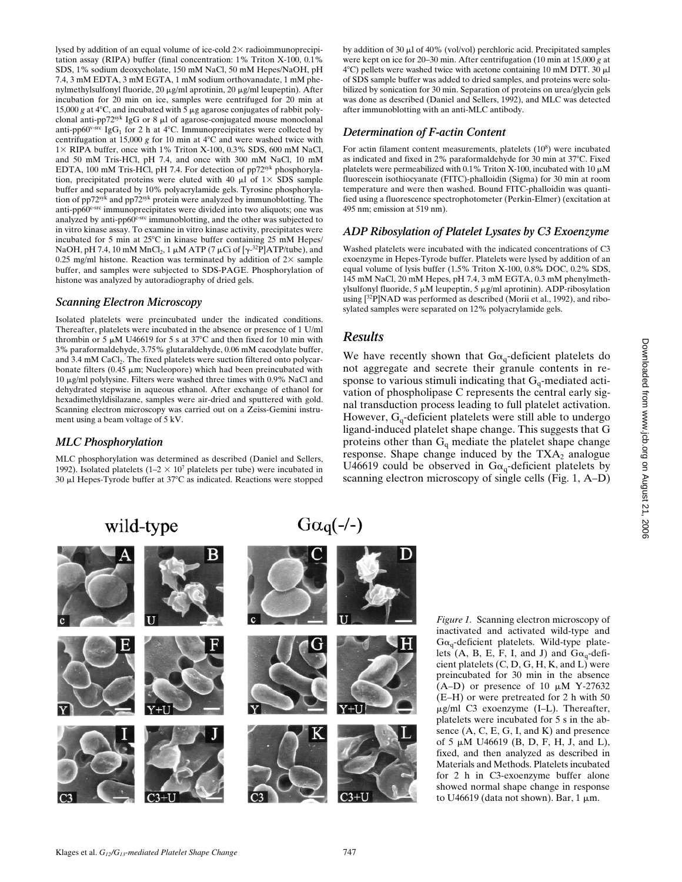tation assay (RIPA) buffer (final concentration: 1% Triton X-100, 0.1% SDS, 1% sodium deoxycholate, 150 mM NaCl, 50 mM Hepes/NaOH, pH 7.4, 3 mM EDTA, 3 mM EGTA, 1 mM sodium orthovanadate, 1 mM phenylmethylsulfonyl fluoride, 20 mg/ml aprotinin, 20 mg/ml leupeptin). After incubation for 20 min on ice, samples were centrifuged for 20 min at 15,000 g at 4°C, and incubated with 5  $\mu$ g agarose conjugates of rabbit polyclonal anti-pp72syk IgG or 8  $\mu$ l of agarose-conjugated mouse monoclonal anti-pp60<sup>v-src</sup> IgG<sub>1</sub> for 2 h at 4°C. Immunoprecipitates were collected by centrifugation at 15,000  $g$  for 10 min at  $4^{\circ}$ C and were washed twice with  $1\times$  RIPA buffer, once with 1% Triton X-100, 0.3% SDS, 600 mM NaCl, and 50 mM Tris-HCl, pH 7.4, and once with 300 mM NaCl, 10 mM EDTA, 100 mM Tris-HCl, pH 7.4. For detection of pp72syk phosphorylation, precipitated proteins were eluted with 40  $\mu$ l of 1× SDS sample buffer and separated by 10% polyacrylamide gels. Tyrosine phosphorylation of pp72syk and pp72syk protein were analyzed by immunoblotting. The anti-pp60c-src immunoprecipitates were divided into two aliquots; one was analyzed by anti-pp60<sup>c-src</sup> immunoblotting, and the other was subjected to in vitro kinase assay. To examine in vitro kinase activity, precipitates were incubated for 5 min at 25°C in kinase buffer containing 25 mM Hepes/ NaOH, pH 7.4, 10 mM MnCl<sub>2</sub>, 1  $\mu$ M ATP (7  $\mu$ Ci of [ $\gamma$ -<sup>32</sup>P]ATP/tube), and 0.25 mg/ml histone. Reaction was terminated by addition of  $2\times$  sample buffer, and samples were subjected to SDS-PAGE. Phosphorylation of histone was analyzed by autoradiography of dried gels. *Scanning Electron Microscopy* Isolated platelets were preincubated under the indicated conditions.

lysed by addition of an equal volume of ice-cold  $2\times$  radioimmunoprecipi-

Thereafter, platelets were incubated in the absence or presence of 1 U/ml thrombin or 5  $\mu$ M U46619 for 5 s at 37°C and then fixed for 10 min with 3% paraformaldehyde, 3.75% glutaraldehyde, 0.06 mM cacodylate buffer, and 3.4 mM CaCl<sub>2</sub>. The fixed platelets were suction filtered onto polycarbonate filters (0.45  $\mu$ m; Nucleopore) which had been preincubated with 10 mg/ml polylysine. Filters were washed three times with 0.9% NaCl and dehydrated stepwise in aqueous ethanol. After exchange of ethanol for hexadimethyldisilazane, samples were air-dried and sputtered with gold. Scanning electron microscopy was carried out on a Zeiss-Gemini instrument using a beam voltage of 5 kV.

# *MLC Phosphorylation*

MLC phosphorylation was determined as described (Daniel and Sellers, 1992). Isolated platelets  $(1-2 \times 10^7)$  platelets per tube) were incubated in 30  $\mu$ l Hepes-Tyrode buffer at 37°C as indicated. Reactions were stopped by addition of 30 µl of 40% (vol/vol) perchloric acid. Precipitated samples were kept on ice for 20–30 min. After centrifugation (10 min at 15,000 *g* at  $4^{\circ}$ C) pellets were washed twice with acetone containing 10 mM DTT. 30  $\mu$ l of SDS sample buffer was added to dried samples, and proteins were solubilized by sonication for 30 min. Separation of proteins on urea/glycin gels was done as described (Daniel and Sellers, 1992), and MLC was detected after immunoblotting with an anti-MLC antibody.

# *Determination of F-actin Content*

For actin filament content measurements, platelets (10<sup>8</sup>) were incubated as indicated and fixed in 2% paraformaldehyde for 30 min at 37°C. Fixed platelets were permeabilized with 0.1% Triton X-100, incubated with 10  $\mu$ M fluorescein isothiocyanate (FITC)-phalloidin (Sigma) for 30 min at room temperature and were then washed. Bound FITC-phalloidin was quantified using a fluorescence spectrophotometer (Perkin-Elmer) (excitation at 495 nm; emission at 519 nm).

# *ADP Ribosylation of Platelet Lysates by C3 Exoenzyme*

Washed platelets were incubated with the indicated concentrations of C3 exoenzyme in Hepes-Tyrode buffer. Platelets were lysed by addition of an equal volume of lysis buffer (1.5% Triton X-100, 0.8% DOC, 0.2% SDS, 145 mM NaCl, 20 mM Hepes, pH 7.4, 3 mM EGTA, 0.3 mM phenylmethylsulfonyl fluoride, 5  $\mu$ M leupeptin, 5  $\mu$ g/ml aprotinin). ADP-ribosylation using [32P]NAD was performed as described (Morii et al., 1992), and ribosylated samples were separated on 12% polyacrylamide gels.

# *Results*

We have recently shown that  $Ga_q$ -deficient platelets do not aggregate and secrete their granule contents in response to various stimuli indicating that  $G_q$ -mediated activation of phospholipase C represents the central early signal transduction process leading to full platelet activation. However,  $G_q$ -deficient platelets were still able to undergo ligand-induced platelet shape change. This suggests that G proteins other than  $G_q$  mediate the platelet shape change response. Shape change induced by the  $TXA<sub>2</sub>$  analogue U46619 could be observed in  $Ga<sub>q</sub>$ -deficient platelets by scanning electron microscopy of single cells (Fig. 1, A–D)

wild-type





*Figure 1.* Scanning electron microscopy of inactivated and activated wild-type and  $Ga_q$ -deficient platelets. Wild-type platelets (A, B, E, F, I, and J) and  $Ga_q$ -deficient platelets  $(C, D, G, H, K, and L)$  were preincubated for 30 min in the absence (A–D) or presence of 10  $\mu$ M Y-27632 (E–H) or were pretreated for 2 h with 50  $\mu$ g/ml C3 exoenzyme (I–L). Thereafter, platelets were incubated for 5 s in the absence  $(A, C, E, G, I, and K)$  and presence of 5  $\mu$ M U46619 (B, D, F, H, J, and L), fixed, and then analyzed as described in Materials and Methods. Platelets incubated for 2 h in C3-exoenzyme buffer alone showed normal shape change in response to U46619 (data not shown). Bar,  $1 \mu m$ .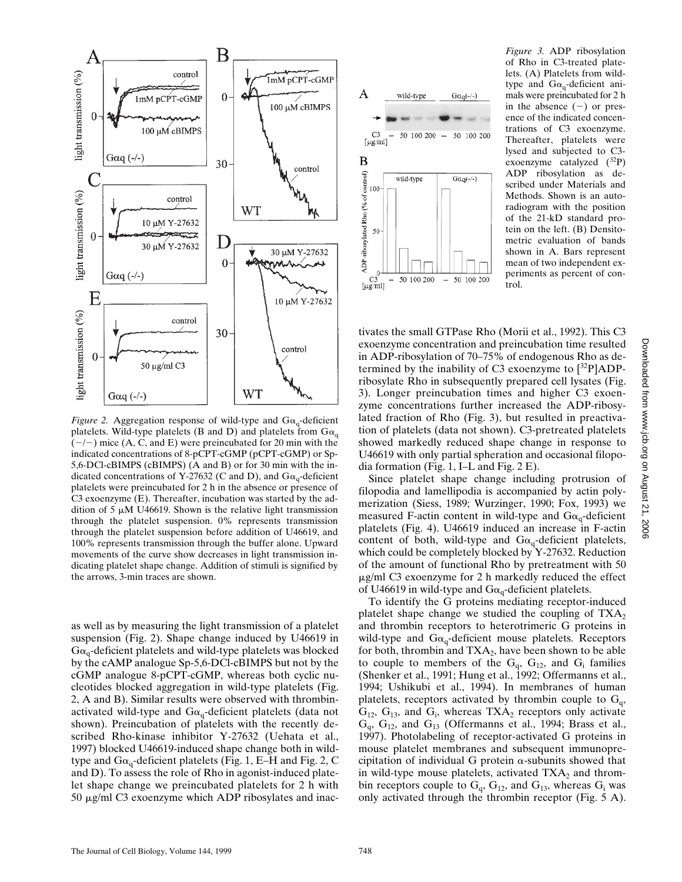

*Figure 2.* Aggregation response of wild-type and  $G\alpha_q$ -deficient platelets. Wild-type platelets (B and D) and platelets from  $G\alpha_{q}$  $(-/-)$  mice (A, C, and E) were preincubated for 20 min with the indicated concentrations of 8-pCPT-cGMP (pCPT-cGMP) or Sp-5,6-DCl-cBIMPS (cBIMPS) (A and B) or for 30 min with the indicated concentrations of Y-27632 (C and D), and  $G\alpha_q$ -deficient platelets were preincubated for 2 h in the absence or presence of C3 exoenzyme (E). Thereafter, incubation was started by the addition of 5  $\mu$ M U46619. Shown is the relative light transmission through the platelet suspension. 0% represents transmission through the platelet suspension before addition of U46619, and 100% represents transmission through the buffer alone. Upward movements of the curve show decreases in light transmission indicating platelet shape change. Addition of stimuli is signified by the arrows, 3-min traces are shown.

as well as by measuring the light transmission of a platelet suspension (Fig. 2). Shape change induced by U46619 in  $G\alpha_q$ -deficient platelets and wild-type platelets was blocked by the cAMP analogue Sp-5,6-DCl-cBIMPS but not by the cGMP analogue 8-pCPT-cGMP, whereas both cyclic nucleotides blocked aggregation in wild-type platelets (Fig. 2, A and B). Similar results were observed with thrombinactivated wild-type and  $G\alpha_q$ -deficient platelets (data not shown). Preincubation of platelets with the recently described Rho-kinase inhibitor Y-27632 (Uehata et al., 1997) blocked U46619-induced shape change both in wildtype and  $Ga_{q}$ -deficient platelets (Fig. 1, E–H and Fig. 2, C and D). To assess the role of Rho in agonist-induced platelet shape change we preincubated platelets for 2 h with  $50 \mu g/ml$  C3 exoenzyme which ADP ribosylates and inac-



*Figure 3.* ADP ribosylation of Rho in C3-treated platelets. (A) Platelets from wildtype and  $G\alpha_q$ -deficient animals were preincubated for 2 h in the absence  $(-)$  or presence of the indicated concentrations of C3 exoenzyme. Thereafter, platelets were lysed and subjected to C3 exoenzyme catalyzed (32P) ADP ribosylation as described under Materials and Methods. Shown is an autoradiogram with the position of the 21-kD standard protein on the left. (B) Densitometric evaluation of bands shown in A. Bars represent mean of two independent experiments as percent of control.

tivates the small GTPase Rho (Morii et al., 1992). This C3 exoenzyme concentration and preincubation time resulted in ADP-ribosylation of 70–75% of endogenous Rho as determined by the inability of C3 exoenzyme to  $[{}^{32}P]ADP$ ribosylate Rho in subsequently prepared cell lysates (Fig. 3). Longer preincubation times and higher C3 exoenzyme concentrations further increased the ADP-ribosylated fraction of Rho (Fig. 3), but resulted in preactivation of platelets (data not shown). C3-pretreated platelets showed markedly reduced shape change in response to U46619 with only partial spheration and occasional filopodia formation (Fig. 1, I–L and Fig. 2 E).

Since platelet shape change including protrusion of filopodia and lamellipodia is accompanied by actin polymerization (Siess, 1989; Wurzinger, 1990; Fox, 1993) we measured F-actin content in wild-type and  $G\alpha_{q}$ -deficient platelets (Fig. 4). U46619 induced an increase in F-actin content of both, wild-type and  $Ga_q$ -deficient platelets, which could be completely blocked by Y-27632. Reduction of the amount of functional Rho by pretreatment with 50  $\mu$ g/ml C3 exoenzyme for 2 h markedly reduced the effect of U46619 in wild-type and  $Ga_{\alpha}$ -deficient platelets.

To identify the G proteins mediating receptor-induced platelet shape change we studied the coupling of  $TXA_2$ and thrombin receptors to heterotrimeric G proteins in wild-type and  $G\alpha_q$ -deficient mouse platelets. Receptors for both, thrombin and  $TXA_2$ , have been shown to be able to couple to members of the  $G_q$ ,  $G_{12}$ , and  $G_i$  families (Shenker et al., 1991; Hung et al., 1992; Offermanns et al., 1994; Ushikubi et al., 1994). In membranes of human platelets, receptors activated by thrombin couple to  $G_q$ ,  $G_{12}$ ,  $G_{13}$ , and  $G_i$ , whereas TXA<sub>2</sub> receptors only activate  $G_q$ ,  $G_{12}$ , and  $G_{13}$  (Offermanns et al., 1994; Brass et al., 1997). Photolabeling of receptor-activated G proteins in mouse platelet membranes and subsequent immunoprecipitation of individual G protein  $\alpha$ -subunits showed that in wild-type mouse platelets, activated  $TXA<sub>2</sub>$  and thrombin receptors couple to  $G_q$ ,  $G_{12}$ , and  $G_{13}$ , whereas  $G_i$  was only activated through the thrombin receptor (Fig. 5 A).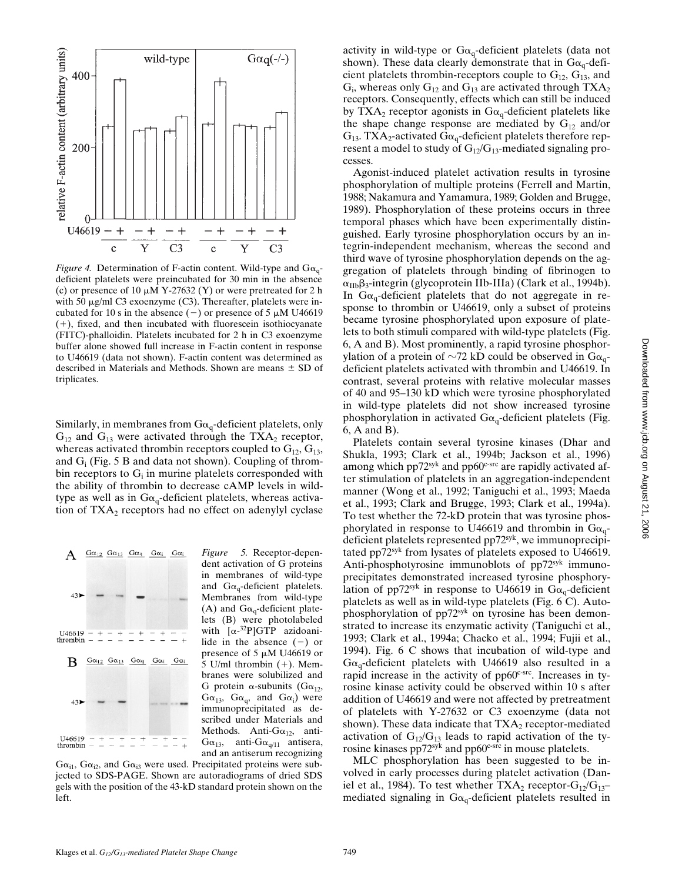

*Figure 4.* Determination of F-actin content. Wild-type and  $G\alpha_q$ deficient platelets were preincubated for 30 min in the absence (c) or presence of 10  $\mu$ M Y-27632 (Y) or were pretreated for 2 h with 50  $\mu$ g/ml C3 exoenzyme (C3). Thereafter, platelets were incubated for 10 s in the absence  $(-)$  or presence of 5  $\mu$ M U46619  $(+)$ , fixed, and then incubated with fluorescein isothiocyanate (FITC)-phalloidin. Platelets incubated for 2 h in C3 exoenzyme buffer alone showed full increase in F-actin content in response to U46619 (data not shown). F-actin content was determined as described in Materials and Methods. Shown are means  $\pm$  SD of triplicates.

Similarly, in membranes from  $Ga_{q}$ -deficient platelets, only  $G_{12}$  and  $G_{13}$  were activated through the TXA<sub>2</sub> receptor, whereas activated thrombin receptors coupled to  $G_{12}$ ,  $G_{13}$ , and  $G_i$  (Fig. 5 B and data not shown). Coupling of thrombin receptors to  $G_i$  in murine platelets corresponded with the ability of thrombin to decrease cAMP levels in wildtype as well as in  $G\alpha_q$ -deficient platelets, whereas activation of  $TXA<sub>2</sub>$  receptors had no effect on adenylyl cyclase



*Figure 5.* Receptor-dependent activation of G proteins in membranes of wild-type and  $Ga_{q}$ -deficient platelets. Membranes from wild-type (A) and  $G\alpha_{q}$ -deficient platelets (B) were photolabeled with [a-<sup>32</sup>P]GTP azidoanilide in the absence  $(-)$  or presence of 5  $\mu$ M U46619 or 5 U/ml thrombin  $(+)$ . Membranes were solubilized and G protein  $\alpha$ -subunits (G $\alpha_{12}$ ,  $G\alpha_{13}$ ,  $G\alpha_q$ , and  $G\alpha_i$ ) were immunoprecipitated as described under Materials and Methods. Anti- $G\alpha_{12}$ , anti- $G\alpha_{13}$ , anti- $G\alpha_{q/11}$  antisera, and an antiserum recognizing

 $G\alpha_{i1}$ ,  $G\alpha_{i2}$ , and  $G\alpha_{i3}$  were used. Precipitated proteins were subjected to SDS-PAGE. Shown are autoradiograms of dried SDS gels with the position of the 43-kD standard protein shown on the left.

activity in wild-type or  $Ga_{q}$ -deficient platelets (data not shown). These data clearly demonstrate that in  $Ga_q$ -deficient platelets thrombin-receptors couple to  $G_{12}$ ,  $G_{13}$ , and  $G_i$ , whereas only  $G_{12}$  and  $G_{13}$  are activated through  $TXA_2$ receptors. Consequently, effects which can still be induced by TXA<sub>2</sub> receptor agonists in G $\alpha_q$ -deficient platelets like the shape change response are mediated by  $G_{12}$  and/or  $G_{13}$ . TXA<sub>2</sub>-activated G $\alpha_q$ -deficient platelets therefore represent a model to study of  $G_{12}/G_{13}$ -mediated signaling processes.

Agonist-induced platelet activation results in tyrosine phosphorylation of multiple proteins (Ferrell and Martin, 1988; Nakamura and Yamamura, 1989; Golden and Brugge, 1989). Phosphorylation of these proteins occurs in three temporal phases which have been experimentally distinguished. Early tyrosine phosphorylation occurs by an integrin-independent mechanism, whereas the second and third wave of tyrosine phosphorylation depends on the aggregation of platelets through binding of fibrinogen to  $\alpha_{\text{IIb}}\beta_3$ -integrin (glycoprotein IIb-IIIa) (Clark et al., 1994b). In  $Ga_{\alpha}$ -deficient platelets that do not aggregate in response to thrombin or U46619, only a subset of proteins became tyrosine phosphorylated upon exposure of platelets to both stimuli compared with wild-type platelets (Fig. 6, A and B). Most prominently, a rapid tyrosine phosphorylation of a protein of  $\sim$ 72 kD could be observed in G $\alpha_{q}$ deficient platelets activated with thrombin and U46619. In contrast, several proteins with relative molecular masses of 40 and 95–130 kD which were tyrosine phosphorylated in wild-type platelets did not show increased tyrosine phosphorylation in activated  $G_{\alpha_q}$ -deficient platelets (Fig. 6, A and B).

Platelets contain several tyrosine kinases (Dhar and Shukla, 1993; Clark et al., 1994b; Jackson et al., 1996) among which  $pp72<sup>syk</sup>$  and  $pp60<sup>c-src</sup>$  are rapidly activated after stimulation of platelets in an aggregation-independent manner (Wong et al., 1992; Taniguchi et al., 1993; Maeda et al., 1993; Clark and Brugge, 1993; Clark et al., 1994a). To test whether the 72-kD protein that was tyrosine phosphorylated in response to U46619 and thrombin in  $Ga_{q}$ deficient platelets represented pp72<sup>syk</sup>, we immunoprecipitated pp72syk from lysates of platelets exposed to U46619. Anti-phosphotyrosine immunoblots of pp72<sup>syk</sup> immunoprecipitates demonstrated increased tyrosine phosphorylation of pp72<sup>syk</sup> in response to U46619 in  $Ga_0$ -deficient platelets as well as in wild-type platelets (Fig. 6 C). Autophosphorylation of pp72<sup>syk</sup> on tyrosine has been demonstrated to increase its enzymatic activity (Taniguchi et al., 1993; Clark et al., 1994a; Chacko et al., 1994; Fujii et al., 1994). Fig. 6 C shows that incubation of wild-type and  $Ga<sub>q</sub>$ -deficient platelets with U46619 also resulted in a rapid increase in the activity of  $pp60<sup>c</sup>src$ . Increases in tyrosine kinase activity could be observed within 10 s after addition of U46619 and were not affected by pretreatment of platelets with Y-27632 or C3 exoenzyme (data not shown). These data indicate that  $TXA_2$  receptor-mediated activation of  $G_{12}/G_{13}$  leads to rapid activation of the tyrosine kinases  $pp72<sup>syk</sup>$  and  $pp60<sup>c-src</sup>$  in mouse platelets.

MLC phosphorylation has been suggested to be involved in early processes during platelet activation (Daniel et al., 1984). To test whether  $TXA_2$  receptor- $G_{12}/G_{13}$ mediated signaling in  $Ga_{q}$ -deficient platelets resulted in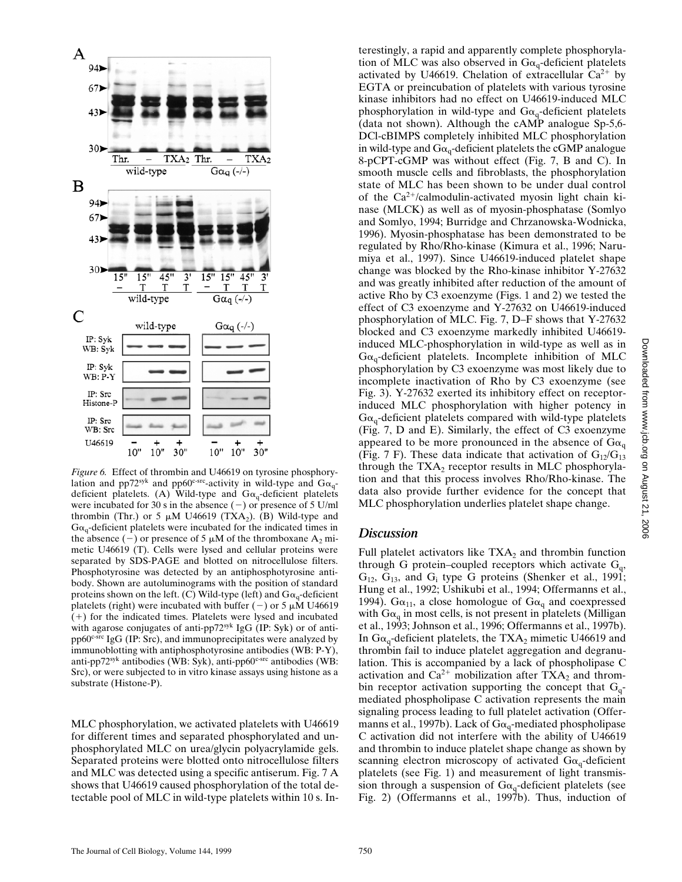

*Figure 6.* Effect of thrombin and U46619 on tyrosine phosphorylation and pp72syk and pp60c-src-activity in wild-type and  $Ga_{q}$ deficient platelets. (A) Wild-type and  $Ga_q$ -deficient platelets were incubated for 30 s in the absence  $(-)$  or presence of 5 U/ml thrombin (Thr.) or 5  $\mu$ M U46619 (TXA<sub>2</sub>). (B) Wild-type and  $G\alpha_{q}$ -deficient platelets were incubated for the indicated times in the absence (-) or presence of 5  $\mu$ M of the thromboxane A<sub>2</sub> mimetic U46619 (T). Cells were lysed and cellular proteins were separated by SDS-PAGE and blotted on nitrocellulose filters. Phosphotyrosine was detected by an antiphosphotyrosine antibody. Shown are autoluminograms with the position of standard proteins shown on the left. (C) Wild-type (left) and  $Ga_{\alpha}$ -deficient platelets (right) were incubated with buffer (-) or 5  $\mu$ M U46619 (1) for the indicated times. Platelets were lysed and incubated with agarose conjugates of anti-pp72syk IgG (IP: Syk) or of anti $pp60<sup>c-src</sup> IgG (IP: Src), and immunoprecipitates were analyzed by$ immunoblotting with antiphosphotyrosine antibodies (WB: P-Y), anti-pp72syk antibodies (WB: Syk), anti-pp60<sup>c-src</sup> antibodies (WB: Src), or were subjected to in vitro kinase assays using histone as a substrate (Histone-P).

MLC phosphorylation, we activated platelets with U46619 for different times and separated phosphorylated and unphosphorylated MLC on urea/glycin polyacrylamide gels. Separated proteins were blotted onto nitrocellulose filters and MLC was detected using a specific antiserum. Fig. 7 A shows that U46619 caused phosphorylation of the total detectable pool of MLC in wild-type platelets within 10 s. Interestingly, a rapid and apparently complete phosphorylation of MLC was also observed in  $Ga_{q}$ -deficient platelets activated by U46619. Chelation of extracellular  $Ca^{2+}$  by EGTA or preincubation of platelets with various tyrosine kinase inhibitors had no effect on U46619-induced MLC phosphorylation in wild-type and  $Ga_q$ -deficient platelets (data not shown). Although the cAMP analogue Sp-5,6- DCl-cBIMPS completely inhibited MLC phosphorylation in wild-type and  $G\alpha_{\alpha}$ -deficient platelets the cGMP analogue 8-pCPT-cGMP was without effect (Fig. 7, B and C). In smooth muscle cells and fibroblasts, the phosphorylation state of MLC has been shown to be under dual control of the  $Ca^{2+}/c$ almodulin-activated myosin light chain kinase (MLCK) as well as of myosin-phosphatase (Somlyo and Somlyo, 1994; Burridge and Chrzanowska-Wodnicka, 1996). Myosin-phosphatase has been demonstrated to be regulated by Rho/Rho-kinase (Kimura et al., 1996; Narumiya et al., 1997). Since U46619-induced platelet shape change was blocked by the Rho-kinase inhibitor Y-27632 and was greatly inhibited after reduction of the amount of active Rho by C3 exoenzyme (Figs. 1 and 2) we tested the effect of C3 exoenzyme and Y-27632 on U46619-induced phosphorylation of MLC. Fig. 7, D–F shows that Y-27632 blocked and C3 exoenzyme markedly inhibited U46619 induced MLC-phosphorylation in wild-type as well as in  $G\alpha_q$ -deficient platelets. Incomplete inhibition of MLC phosphorylation by C3 exoenzyme was most likely due to incomplete inactivation of Rho by C3 exoenzyme (see Fig. 3). Y-27632 exerted its inhibitory effect on receptorinduced MLC phosphorylation with higher potency in  $G\alpha_{q}$ -deficient platelets compared with wild-type platelets (Fig. 7, D and E). Similarly, the effect of C3 exoenzyme appeared to be more pronounced in the absence of  $Ga_{\alpha}$ (Fig. 7 F). These data indicate that activation of  $G_{12}/G_{13}$ through the  $TXA<sub>2</sub>$  receptor results in MLC phosphorylation and that this process involves Rho/Rho-kinase. The data also provide further evidence for the concept that MLC phosphorylation underlies platelet shape change.

#### *Discussion*

Full platelet activators like  $TXA_2$  and thrombin function through G protein–coupled receptors which activate  $G_q$ ,  $G_{12}$ ,  $G_{13}$ , and  $G_i$  type G proteins (Shenker et al., 1991; Hung et al., 1992; Ushikubi et al., 1994; Offermanns et al., 1994).  $G\alpha_{11}$ , a close homologue of  $G\alpha_{q}$  and coexpressed with  $Ga<sub>q</sub>$  in most cells, is not present in platelets (Milligan et al., 1993; Johnson et al., 1996; Offermanns et al., 1997b). In  $Ga_{\alpha}$ -deficient platelets, the TXA<sub>2</sub> mimetic U46619 and thrombin fail to induce platelet aggregation and degranulation. This is accompanied by a lack of phospholipase C activation and  $Ca^{2+}$  mobilization after TXA<sub>2</sub> and thrombin receptor activation supporting the concept that  $G_q$ mediated phospholipase C activation represents the main signaling process leading to full platelet activation (Offermanns et al., 1997b). Lack of  $G\alpha_q$ -mediated phospholipase C activation did not interfere with the ability of U46619 and thrombin to induce platelet shape change as shown by scanning electron microscopy of activated  $G\alpha_{q}$ -deficient platelets (see Fig. 1) and measurement of light transmission through a suspension of  $Ga_{q}$ -deficient platelets (see Fig. 2) (Offermanns et al., 1997b). Thus, induction of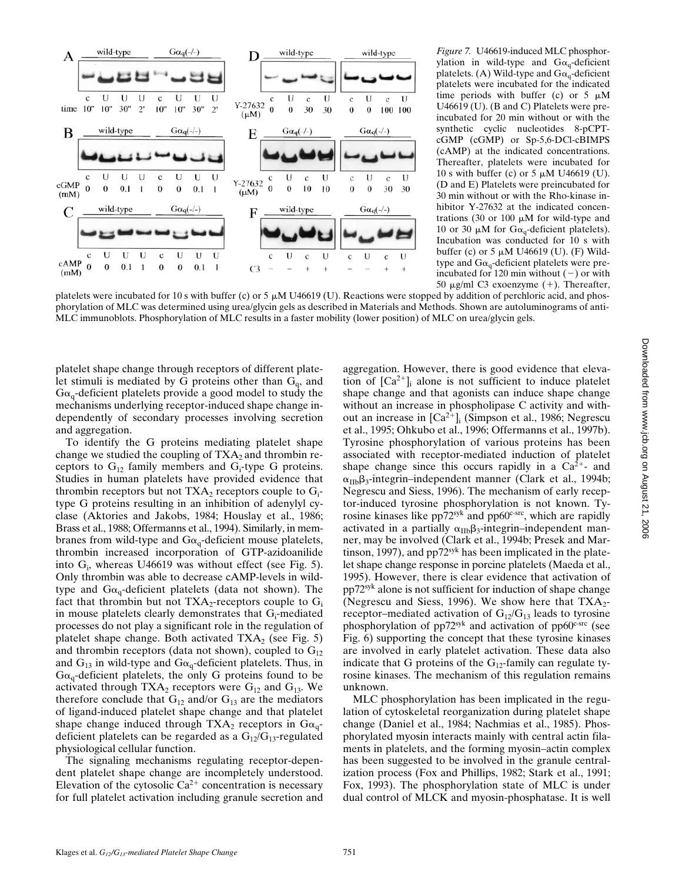

*Figure 7.* U46619-induced MLC phosphorylation in wild-type and  $Ga_{\alpha}$ -deficient platelets. (A) Wild-type and  $Ga_{q}$ -deficient platelets were incubated for the indicated time periods with buffer (c) or 5  $\mu$ M U46619 (U). (B and C) Platelets were preincubated for 20 min without or with the synthetic cyclic nucleotides 8-pCPTcGMP (cGMP) or Sp-5,6-DCl-cBIMPS (cAMP) at the indicated concentrations. Thereafter, platelets were incubated for 10 s with buffer (c) or 5  $\mu$ M U46619 (U). (D and E) Platelets were preincubated for 30 min without or with the Rho-kinase inhibitor Y-27632 at the indicated concentrations (30 or 100  $\mu$ M for wild-type and 10 or 30  $\mu$ M for G $\alpha_q$ -deficient platelets). Incubation was conducted for 10 s with buffer (c) or 5  $\mu$ M U46619 (U). (F) Wildtype and  $Ga_{q}$ -deficient platelets were preincubated for 120 min without  $(-)$  or with 50  $\mu$ g/ml C3 exoenzyme (+). Thereafter,

platelets were incubated for 10 s with buffer (c) or 5  $\mu$ M U46619 (U). Reactions were stopped by addition of perchloric acid, and phosphorylation of MLC was determined using urea/glycin gels as described in Materials and Methods. Shown are autoluminograms of anti-MLC immunoblots. Phosphorylation of MLC results in a faster mobility (lower position) of MLC on urea/glycin gels.

platelet shape change through receptors of different platelet stimuli is mediated by G proteins other than  $G_q$ , and  $G_{\alpha_{\alpha}}$ -deficient platelets provide a good model to study the mechanisms underlying receptor-induced shape change independently of secondary processes involving secretion and aggregation.

To identify the G proteins mediating platelet shape change we studied the coupling of  $TXA_2$  and thrombin receptors to  $G_{12}$  family members and  $G_i$ -type G proteins. Studies in human platelets have provided evidence that thrombin receptors but not  $TXA_2$  receptors couple to  $G_i$ type G proteins resulting in an inhibition of adenylyl cyclase (Aktories and Jakobs, 1984; Houslay et al., 1986; Brass et al., 1988; Offermanns et al., 1994). Similarly, in membranes from wild-type and  $Ga_q$ -deficient mouse platelets, thrombin increased incorporation of GTP-azidoanilide into G<sub>i</sub>, whereas U46619 was without effect (see Fig. 5). Only thrombin was able to decrease cAMP-levels in wildtype and  $Ga_{q}$ -deficient platelets (data not shown). The fact that thrombin but not  $TXA_2$ -receptors couple to  $G_i$ in mouse platelets clearly demonstrates that G<sub>i</sub>-mediated processes do not play a significant role in the regulation of platelet shape change. Both activated  $TXA_2$  (see Fig. 5) and thrombin receptors (data not shown), coupled to  $G_{12}$ and  $G_{13}$  in wild-type and  $G_{\alpha}$ -deficient platelets. Thus, in  $G\alpha_q$ -deficient platelets, the only G proteins found to be activated through  $TXA_2$  receptors were  $G_{12}$  and  $G_{13}$ . We therefore conclude that  $G_{12}$  and/or  $G_{13}$  are the mediators of ligand-induced platelet shape change and that platelet shape change induced through TXA<sub>2</sub> receptors in  $Ga_q$ deficient platelets can be regarded as a  $G_{12}/G_{13}$ -regulated physiological cellular function.

The signaling mechanisms regulating receptor-dependent platelet shape change are incompletely understood. Elevation of the cytosolic  $Ca^{2+}$  concentration is necessary for full platelet activation including granule secretion and

aggregation. However, there is good evidence that elevation of  $[Ca^{2+}]$ <sub>i</sub> alone is not sufficient to induce platelet shape change and that agonists can induce shape change without an increase in phospholipase C activity and without an increase in  $[Ca^{2+}]_i$  (Simpson et al., 1986; Negrescu et al., 1995; Ohkubo et al., 1996; Offermanns et al., 1997b). Tyrosine phosphorylation of various proteins has been associated with receptor-mediated induction of platelet shape change since this occurs rapidly in a  $Ca^{2+}$ - and  $\alpha_{\text{IIb}}\beta_3$ -integrin–independent manner (Clark et al., 1994b; Negrescu and Siess, 1996). The mechanism of early receptor-induced tyrosine phosphorylation is not known. Tyrosine kinases like pp72<sup>syk</sup> and pp60<sup>c-src</sup>, which are rapidly activated in a partially  $\alpha_{\text{IIb}}\beta_3$ -integrin–independent manner, may be involved (Clark et al., 1994b; Presek and Martinson, 1997), and  $pp72<sup>syk</sup>$  has been implicated in the platelet shape change response in porcine platelets (Maeda et al., 1995). However, there is clear evidence that activation of pp72syk alone is not sufficient for induction of shape change (Negrescu and Siess, 1996). We show here that  $TXA_2$ receptor–mediated activation of  $G_{12}/G_{13}$  leads to tyrosine phosphorylation of pp $72<sup>syk</sup>$  and activation of pp $60<sup>c</sup>src$  (see Fig. 6) supporting the concept that these tyrosine kinases are involved in early platelet activation. These data also indicate that G proteins of the  $G_{12}$ -family can regulate tyrosine kinases. The mechanism of this regulation remains unknown.

MLC phosphorylation has been implicated in the regulation of cytoskeletal reorganization during platelet shape change (Daniel et al., 1984; Nachmias et al., 1985). Phosphorylated myosin interacts mainly with central actin filaments in platelets, and the forming myosin–actin complex has been suggested to be involved in the granule centralization process (Fox and Phillips, 1982; Stark et al., 1991; Fox, 1993). The phosphorylation state of MLC is under dual control of MLCK and myosin-phosphatase. It is well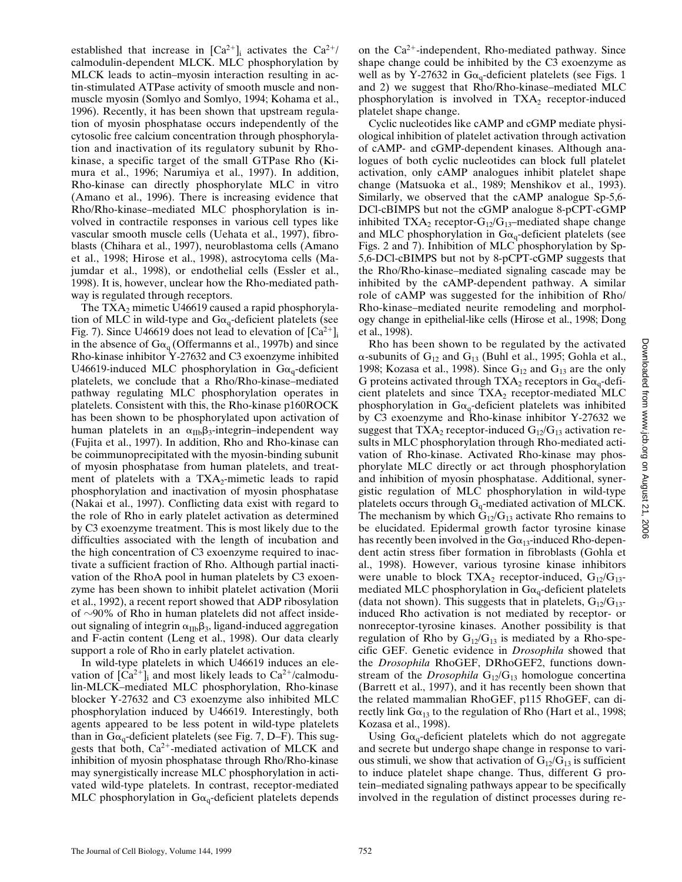established that increase in  $[Ca^{2+}]$ <sub>i</sub> activates the  $Ca^{2+}/$ calmodulin-dependent MLCK. MLC phosphorylation by MLCK leads to actin–myosin interaction resulting in actin-stimulated ATPase activity of smooth muscle and nonmuscle myosin (Somlyo and Somlyo, 1994; Kohama et al., 1996). Recently, it has been shown that upstream regulation of myosin phosphatase occurs independently of the cytosolic free calcium concentration through phosphorylation and inactivation of its regulatory subunit by Rhokinase, a specific target of the small GTPase Rho (Kimura et al., 1996; Narumiya et al., 1997). In addition, Rho-kinase can directly phosphorylate MLC in vitro (Amano et al., 1996). There is increasing evidence that Rho/Rho-kinase–mediated MLC phosphorylation is involved in contractile responses in various cell types like vascular smooth muscle cells (Uehata et al., 1997), fibroblasts (Chihara et al., 1997), neuroblastoma cells (Amano et al., 1998; Hirose et al., 1998), astrocytoma cells (Majumdar et al., 1998), or endothelial cells (Essler et al., 1998). It is, however, unclear how the Rho-mediated pathway is regulated through receptors.

The  $TXA<sub>2</sub>$  mimetic U46619 caused a rapid phosphorylation of MLC in wild-type and  $Ga<sub>q</sub>$ -deficient platelets (see Fig. 7). Since U46619 does not lead to elevation of  $[Ca^{2+}]$ in the absence of  $Ga_{q}$  (Offermanns et al., 1997b) and since Rho-kinase inhibitor Y-27632 and C3 exoenzyme inhibited U46619-induced MLC phosphorylation in  $Ga_{\alpha}$ -deficient platelets, we conclude that a Rho/Rho-kinase–mediated pathway regulating MLC phosphorylation operates in platelets. Consistent with this, the Rho-kinase p160ROCK has been shown to be phosphorylated upon activation of human platelets in an  $\alpha_{\text{IIb}}\beta_3$ -integrin–independent way (Fujita et al., 1997). In addition, Rho and Rho-kinase can be coimmunoprecipitated with the myosin-binding subunit of myosin phosphatase from human platelets, and treatment of platelets with a  $TXA_2$ -mimetic leads to rapid phosphorylation and inactivation of myosin phosphatase (Nakai et al., 1997). Conflicting data exist with regard to the role of Rho in early platelet activation as determined by C3 exoenzyme treatment. This is most likely due to the difficulties associated with the length of incubation and the high concentration of C3 exoenzyme required to inactivate a sufficient fraction of Rho. Although partial inactivation of the RhoA pool in human platelets by C3 exoenzyme has been shown to inhibit platelet activation (Morii et al., 1992), a recent report showed that ADP ribosylation of  $\sim$ 90% of Rho in human platelets did not affect insideout signaling of integrin  $\alpha_{\text{IIb}}\beta_3$ , ligand-induced aggregation and F-actin content (Leng et al., 1998). Our data clearly support a role of Rho in early platelet activation.

In wild-type platelets in which U46619 induces an elevation of  $[Ca^{2+}]$ <sub>i</sub> and most likely leads to  $Ca^{2+}/cal$ calmodulin-MLCK–mediated MLC phosphorylation, Rho-kinase blocker Y-27632 and C3 exoenzyme also inhibited MLC phosphorylation induced by U46619. Interestingly, both agents appeared to be less potent in wild-type platelets than in  $Ga_{q}$ -deficient platelets (see Fig. 7, D–F). This suggests that both,  $Ca^{2+}$ -mediated activation of MLCK and inhibition of myosin phosphatase through Rho/Rho-kinase may synergistically increase MLC phosphorylation in activated wild-type platelets. In contrast, receptor-mediated MLC phosphorylation in  $Ga_{q}$ -deficient platelets depends

on the  $Ca^{2+}$ -independent, Rho-mediated pathway. Since shape change could be inhibited by the C3 exoenzyme as well as by Y-27632 in  $Ga_0$ -deficient platelets (see Figs. 1 and 2) we suggest that Rho/Rho-kinase–mediated MLC phosphorylation is involved in  $TXA_2$  receptor-induced platelet shape change.

Cyclic nucleotides like cAMP and cGMP mediate physiological inhibition of platelet activation through activation of cAMP- and cGMP-dependent kinases. Although analogues of both cyclic nucleotides can block full platelet activation, only cAMP analogues inhibit platelet shape change (Matsuoka et al., 1989; Menshikov et al., 1993). Similarly, we observed that the cAMP analogue Sp-5,6- DCl-cBIMPS but not the cGMP analogue 8-pCPT-cGMP inhibited TXA<sub>2</sub> receptor- $G_{12}/G_{13}$ –mediated shape change and MLC phosphorylation in  $Ga_q$ -deficient platelets (see Figs. 2 and 7). Inhibition of MLC phosphorylation by Sp-5,6-DCl-cBIMPS but not by 8-pCPT-cGMP suggests that the Rho/Rho-kinase–mediated signaling cascade may be inhibited by the cAMP-dependent pathway. A similar role of cAMP was suggested for the inhibition of Rho/ Rho-kinase–mediated neurite remodeling and morphology change in epithelial-like cells (Hirose et al., 1998; Dong et al., 1998).

Rho has been shown to be regulated by the activated  $\alpha$ -subunits of  $G_{12}$  and  $G_{13}$  (Buhl et al., 1995; Gohla et al., 1998; Kozasa et al., 1998). Since  $G_{12}$  and  $G_{13}$  are the only G proteins activated through TXA<sub>2</sub> receptors in  $Ga_{q}$ -deficient platelets and since  $TXA_2$  receptor-mediated MLC phosphorylation in  $G\alpha_q$ -deficient platelets was inhibited by C3 exoenzyme and Rho-kinase inhibitor Y-27632 we suggest that  $TXA_2$  receptor-induced  $G_{12}/G_{13}$  activation results in MLC phosphorylation through Rho-mediated activation of Rho-kinase. Activated Rho-kinase may phosphorylate MLC directly or act through phosphorylation and inhibition of myosin phosphatase. Additional, synergistic regulation of MLC phosphorylation in wild-type platelets occurs through  $G_q$ -mediated activation of MLCK. The mechanism by which  $G_{12}/G_{13}$  activate Rho remains to be elucidated. Epidermal growth factor tyrosine kinase has recently been involved in the  $Ga_{13}$ -induced Rho-dependent actin stress fiber formation in fibroblasts (Gohla et al., 1998). However, various tyrosine kinase inhibitors were unable to block TXA<sub>2</sub> receptor-induced,  $G_{12}/G_{13}$ mediated MLC phosphorylation in  $Ga_{\alpha}$ -deficient platelets (data not shown). This suggests that in platelets,  $G_{12}/G_{13}$ induced Rho activation is not mediated by receptor- or nonreceptor-tyrosine kinases. Another possibility is that regulation of Rho by  $G_{12}/G_{13}$  is mediated by a Rho-specific GEF. Genetic evidence in *Drosophila* showed that the *Drosophila* RhoGEF, DRhoGEF2, functions downstream of the *Drosophila*  $G_{12}/G_{13}$  homologue concertina (Barrett et al., 1997), and it has recently been shown that the related mammalian RhoGEF, p115 RhoGEF, can directly link  $G\alpha_{13}$  to the regulation of Rho (Hart et al., 1998; Kozasa et al., 1998).

Using  $G\alpha_{\alpha}$ -deficient platelets which do not aggregate and secrete but undergo shape change in response to various stimuli, we show that activation of  $G_{12}/G_{13}$  is sufficient to induce platelet shape change. Thus, different G protein–mediated signaling pathways appear to be specifically involved in the regulation of distinct processes during re-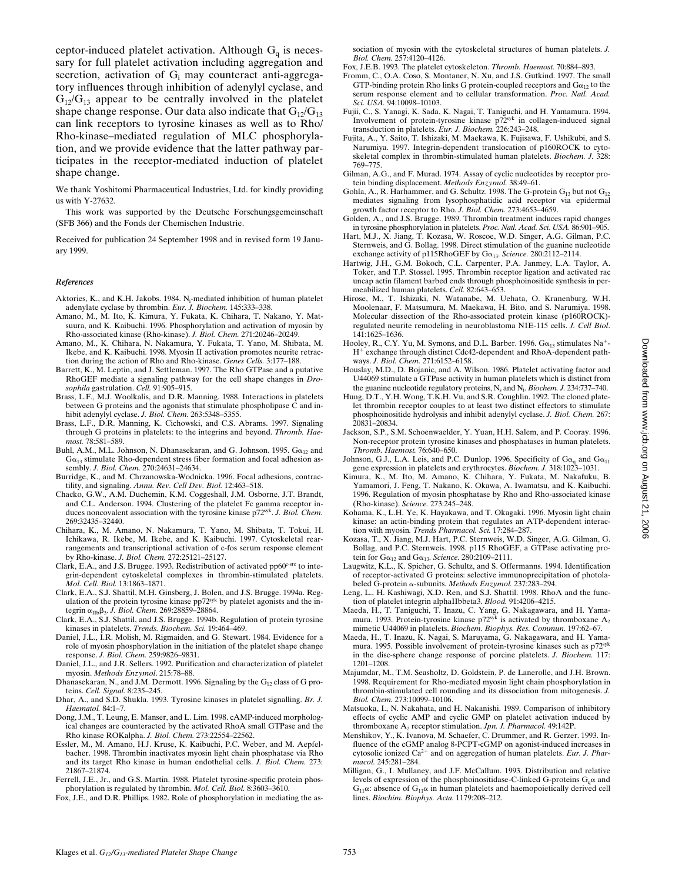ceptor-induced platelet activation. Although  $G_q$  is necessary for full platelet activation including aggregation and secretion, activation of G<sub>i</sub> may counteract anti-aggregatory influences through inhibition of adenylyl cyclase, and  $G_{12}/G_{13}$  appear to be centrally involved in the platelet shape change response. Our data also indicate that  $G_{12}/G_{13}$ can link receptors to tyrosine kinases as well as to Rho/ Rho-kinase–mediated regulation of MLC phosphorylation, and we provide evidence that the latter pathway participates in the receptor-mediated induction of platelet shape change.

We thank Yoshitomi Pharmaceutical Industries, Ltd. for kindly providing us with Y-27632.

This work was supported by the Deutsche Forschungsgemeinschaft (SFB 366) and the Fonds der Chemischen Industrie.

Received for publication 24 September 1998 and in revised form 19 January 1999.

#### *References*

- Aktories, K., and K.H. Jakobs. 1984. N<sub>i</sub>-mediated inhibition of human platelet adenylate cyclase by thrombin. *Eur. J. Biochem.* 145:333–338.
- Amano, M., M. Ito, K. Kimura, Y. Fukata, K. Chihara, T. Nakano, Y. Matsuura, and K. Kaibuchi. 1996. Phosphorylation and activation of myosin by Rho-associated kinase (Rho-kinase). *J. Biol. Chem.* 271:20246–20249.
- Amano, M., K. Chihara, N. Nakamura, Y. Fukata, T. Yano, M. Shibata, M. Ikebe, and K. Kaibuchi. 1998. Myosin II activation promotes neurite retraction during the action of Rho and Rho-kinase. *Genes Cells.* 3:177–188.
- Barrett, K., M. Leptin, and J. Settleman. 1997. The Rho GTPase and a putative RhoGEF mediate a signaling pathway for the cell shape changes in *Drosophila* gastrulation. *Cell.* 91:905–915.
- Brass, L.F., M.J. Woolkalis, and D.R. Manning. 1988. Interactions in platelets between G proteins and the agonists that stimulate phospholipase  $\overline{C}$  and inhibit adenylyl cyclase. *J. Biol. Chem.* 263:5348–5355.
- Brass, L.F., D.R. Manning, K. Cichowski, and C.S. Abrams. 1997. Signaling through G proteins in platelets: to the integrins and beyond. *Thromb. Haemost.* 78:581–589.
- Buhl, A.M., M.L. Johnson, N. Dhanasekaran, and G. Johnson. 1995.  $G\alpha_{12}$  and  $G\alpha_{13}$  stimulate Rho-dependent stress fiber formation and focal adhesion assembly. *J. Biol. Chem.* 270:24631–24634.
- Burridge, K., and M. Chrzanowska-Wodnicka. 1996. Focal adhesions, contractility, and signaling. *Annu. Rev. Cell Dev. Biol.* 12:463–518.
- Chacko, G.W., A.M. Duchemin, K.M. Coggeshall, J.M. Osborne, J.T. Brandt, and C.L. Anderson. 1994. Clustering of the platelet Fc gamma receptor induces noncovalent association with the tyrosine kinase p72syk. *J. Biol. Chem.* 269:32435–32440.
- Chihara, K., M. Amano, N. Nakamura, T. Yano, M. Shibata, T. Tokui, H. Ichikawa, R. Ikebe, M. Ikebe, and K. Kaibuchi. 1997. Cytoskeletal rearrangements and transcriptional activation of c-fos serum response element by Rho-kinase. *J. Biol. Chem.* 272:25121–25127.
- Clark, E.A., and J.S. Brugge. 1993. Redistribution of activated pp60<sup>c-src</sup> to integrin-dependent cytoskeletal complexes in thrombin-stimulated platelets. *Mol. Cell. Biol.* 13:1863–1871.
- Clark, E.A., S.J. Shattil, M.H. Ginsberg, J. Bolen, and J.S. Brugge. 1994a. Regulation of the protein tyrosine kinase pp72<sup>syk</sup> by platelet agonists and the integrin aIIbb3. *J. Biol. Chem.* 269:28859–28864.
- Clark, E.A., S.J. Shattil, and J.S. Brugge. 1994b. Regulation of protein tyrosine kinases in platelets. *Trends. Biochem. Sci.* 19:464–469.
- Daniel, J.L., I.R. Molish, M. Rigmaiden, and G. Stewart. 1984. Evidence for a role of myosin phosphorylation in the initiation of the platelet shape change response. *J. Biol. Chem.* 259:9826–9831.
- Daniel, J.L., and J.R. Sellers. 1992. Purification and characterization of platelet myosin. *Methods Enzymol*. 215:78–88.
- Dhanasekaran, N., and J.M. Dermott. 1996. Signaling by the  $G_{12}$  class of G proteins. *Cell. Signal.* 8:235–245.
- Dhar, A., and S.D. Shukla. 1993. Tyrosine kinases in platelet signalling. *Br. J. Haematol.* 84:1–7.
- Dong, J.M., T. Leung, E. Manser, and L. Lim. 1998. cAMP-induced morphological changes are counteracted by the activated RhoA small GTPase and the Rho kinase ROKalpha. *J. Biol. Chem.* 273:22554–22562.
- Essler, M., M. Amano, H.J. Kruse, K. Kaibuchi, P.C. Weber, and M. Aepfelbacher. 1998. Thrombin inactivates myosin light chain phosphatase via Rho and its target Rho kinase in human endothelial cells. *J. Biol. Chem.* 273: 21867–21874.
- Ferrell, J.E., Jr., and G.S. Martin. 1988. Platelet tyrosine-specific protein phosphorylation is regulated by thrombin. *Mol. Cell. Biol.* 8:3603–3610.
- Fox, J.E., and D.R. Phillips. 1982. Role of phosphorylation in mediating the as-

sociation of myosin with the cytoskeletal structures of human platelets. *J. Biol. Chem.* 257:4120–4126.

Fox, J.E.B. 1993. The platelet cytoskeleton. *Thromb. Haemost.* 70:884–893.

- Fromm, C., O.A. Coso, S. Montaner, N. Xu, and J.S. Gutkind. 1997. The small GTP-binding protein Rho links G protein-coupled receptors and  $Ga_{12}$  to the serum response element and to cellular transformation. *Proc. Natl. Acad. Sci. USA.* 94:10098–10103.
- Fujii, C., S. Yanagi, K. Sada, K. Nagai, T. Taniguchi, and H. Yamamura. 1994. Involvement of protein-tyrosine kinase p72syk in collagen-induced signal transduction in platelets. *Eur. J. Biochem.* 226:243–248.
- Fujita, A., Y. Saito, T. Ishizaki, M. Maekawa, K. Fujisawa, F. Ushikubi, and S. Narumiya. 1997. Integrin-dependent translocation of p160ROCK to cytoskeletal complex in thrombin-stimulated human platelets. *Biochem. J.* 328: 769–775.
- Gilman, A.G., and F. Murad. 1974. Assay of cyclic nucleotides by receptor protein binding displacement. *Methods Enzymol.* 38:49–61.
- Gohla, A., R. Harhammer, and G. Schultz. 1998. The G-protein  $G_{13}$  but not  $G_{12}$ mediates signaling from lysophosphatidic acid receptor via epidermal growth factor receptor to Rho. *J. Biol. Chem.* 273:4653–4659.
- Golden, A., and J.S. Brugge. 1989. Thrombin treatment induces rapid changes in tyrosine phosphorylation in platelets. *Proc. Natl. Acad. Sci. USA.* 86:901–905.
- Hart, M.J., X. Jiang, T. Kozasa, W. Roscoe, W.D. Singer, A.G. Gilman, P.C. Sternweis, and G. Bollag. 1998. Direct stimulation of the guanine nucleotide exchange activity of p115RhoGEF by  $G\alpha_{13}$ . *Science*. 280:2112-2114
- Hartwig, J.H., G.M. Bokoch, C.L. Carpenter, P.A. Janmey, L.A. Taylor, A. Toker, and T.P. Stossel. 1995. Thrombin receptor ligation and activated rac uncap actin filament barbed ends through phosphoinositide synthesis in permeabilized human platelets. *Cell.* 82:643–653.
- Hirose, M., T. Ishizaki, N. Watanabe, M. Uehata, O. Kranenburg, W.H. Moolenaar, F. Matsumura, M. Maekawa, H. Bito, and S. Narumiya. 1998. Molecular dissection of the Rho-associated protein kinase (p160ROCK) regulated neurite remodeling in neuroblastoma N1E-115 cells. *J. Cell Biol*. 141:1625–1636.
- Hooley, R., C.Y. Yu, M. Symons, and D.L. Barber. 1996.  $G\alpha_{13}$  stimulates Na<sup>+</sup>-H<sup>+</sup> exchange through distinct Cdc42-dependent and RhoA-dependent pathways. *J. Biol. Chem.* 271:6152–6158.
- Houslay, M.D., D. Bojanic, and A. Wilson. 1986. Platelet activating factor and U44069 stimulate a GTPase activity in human platelets which is distinct from the guanine nucleotide regulatory proteins, N<sub>s</sub> and N<sub>i</sub>. *Biochem. J.* 234:737–740.
- Hung, D.T., Y.H. Wong, T.K.H. Vu, and S.R. Coughlin. 1992. The cloned platelet thrombin receptor couples to at least two distinct effectors to stimulate phosphoinositide hydrolysis and inhibit adenylyl cyclase. *J. Biol. Chem.* 267: 20831–20834.
- Jackson, S.P., S.M. Schoenwaelder, Y. Yuan, H.H. Salem, and P. Cooray. 1996. Non-receptor protein tyrosine kinases and phosphatases in human platelets. *Thromb. Haemost.* 76:640–650.
- Johnson, G.J., L.A. Leis, and P.C. Dunlop. 1996. Specificity of  $Ga_{\alpha_1}$  and  $Ga_{11}$  gene expression in platelets and erythrocytes. *Biochem. J.* 318:1023–1031.
- Kimura, K., M. Ito, M. Amano, K. Chihara, Y. Fukata, M. Nakafuku, B. Yamamori, J. Feng, T. Nakano, K. Okawa, A. Iwamatsu, and K. Kaibuchi. 1996. Regulation of myosin phosphatase by Rho and Rho-associated kinase (Rho-kinase). *Science.* 273:245–248.
- Kohama, K., L.H. Ye, K. Hayakawa, and T. Okagaki. 1996. Myosin light chain kinase: an actin-binding protein that regulates an ATP-dependent interaction with myosin*. Trends Pharmacol. Sci.* 17:284–287.
- Kozasa, T., X. Jiang, M.J. Hart, P.C. Sternweis, W.D. Singer, A.G. Gilman, G. Bollag, and P.C. Sternweis. 1998. p115 RhoGEF, a GTPase activating protein for  $G\alpha_{12}$  and  $G\alpha_{13}$ . *Science*. 280:2109-2111.
- Laugwitz, K.L., K. Spicher, G. Schultz, and S. Offermanns. 1994. Identification of receptor-activated G proteins: selective immunoprecipitation of photolabeled G-protein a-subunits. *Methods Enzymol.* 237:283–294.
- Leng, L., H. Kashiwagi, X.D. Ren, and S.J. Shattil. 1998. RhoA and the function of platelet integrin alphaIIbbeta3. *Blood.* 91:4206–4215.
- Maeda, H., T. Taniguchi, T. Inazu, C. Yang, G. Nakagawara, and H. Yama-<br>mura. 1993. Protein-tyrosine kinase  $p72<sup>sysk</sup>$  is activated by thromboxane  $A_2$ mimetic U44069 in platelets. *Biochem. Biophys. Res. Commun.* 197:62–67.
- Maeda, H., T. Inazu, K. Nagai, S. Maruyama, G. Nakagawara, and H. Yamamura. 1995. Possible involvement of protein-tyrosine kinases such as p72<sup>syk</sup> in the disc-sphere change response of porcine platelets. *J. Biochem.* 117: 1201–1208.
- Majumdar, M., T.M. Seasholtz, D. Goldstein, P. de Lanerolle, and J.H. Brown. 1998. Requirement for Rho-mediated myosin light chain phosphorylation in thrombin-stimulated cell rounding and its dissociation from mitogenesis. *J. Biol. Chem.* 273:10099–10106.
- Matsuoka, I., N. Nakahata, and H. Nakanishi. 1989. Comparison of inhibitory effects of cyclic AMP and cyclic GMP on platelet activation induced by thromboxane A2 receptor stimulation. *Jpn. J. Pharmacol.* 49:142P.
- Menshikov, Y., K. Ivanova, M. Schaefer, C. Drummer, and R. Gerzer. 1993. Influence of the cGMP analog 8-PCPT-cGMP on agonist-induced increases in cytosolic ionized Ca<sup>2+</sup> and on aggregation of human platelets. *Eur. J. Pharmacol.* 245:281–284.
- Milligan, G., I. Mullaney, and J.F. McCallum. 1993. Distribution and relative levels of expression of the phosphoinositidase-C-linked G-proteins  $G_a\alpha$  and G11a: absence of G11a in human platelets and haemopoietically derived cell lines. *Biochim. Biophys. Acta.* 1179:208–212.